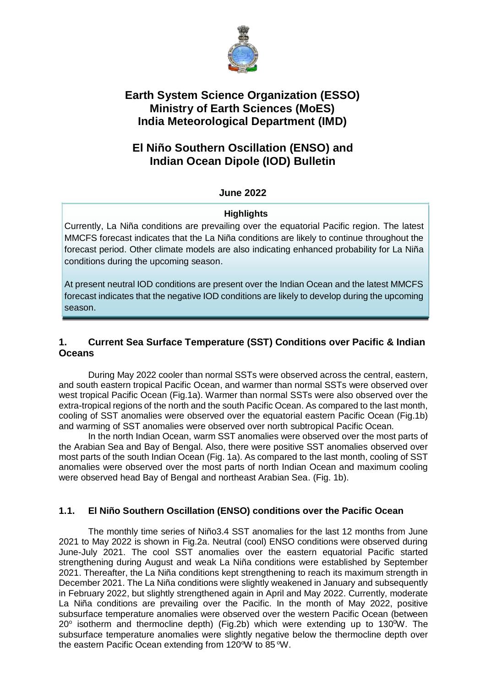

# **Earth System Science Organization (ESSO) Ministry of Earth Sciences (MoES) India Meteorological Department (IMD)**

## **El Niño Southern Oscillation (ENSO) and Indian Ocean Dipole (IOD) Bulletin**

### **June 2022**

#### **Highlights**

Currently, La Niña conditions are prevailing over the equatorial Pacific region. The latest MMCFS forecast indicates that the La Niña conditions are likely to continue throughout the forecast period. Other climate models are also indicating enhanced probability for La Niña conditions during the upcoming season.

At present neutral IOD conditions are present over the Indian Ocean and the latest MMCFS forecast indicates that the negative IOD conditions are likely to develop during the upcoming season.

### **1. Current Sea Surface Temperature (SST) Conditions over Pacific & Indian Oceans**

During May 2022 cooler than normal SSTs were observed across the central, eastern, and south eastern tropical Pacific Ocean, and warmer than normal SSTs were observed over west tropical Pacific Ocean (Fig.1a). Warmer than normal SSTs were also observed over the extra-tropical regions of the north and the south Pacific Ocean. As compared to the last month, cooling of SST anomalies were observed over the equatorial eastern Pacific Ocean (Fig.1b) and warming of SST anomalies were observed over north subtropical Pacific Ocean.

In the north Indian Ocean, warm SST anomalies were observed over the most parts of the Arabian Sea and Bay of Bengal. Also, there were positive SST anomalies observed over most parts of the south Indian Ocean (Fig. 1a). As compared to the last month, cooling of SST anomalies were observed over the most parts of north Indian Ocean and maximum cooling were observed head Bay of Bengal and northeast Arabian Sea. (Fig. 1b).

### **1.1. El Niño Southern Oscillation (ENSO) conditions over the Pacific Ocean**

The monthly time series of Niño3.4 SST anomalies for the last 12 months from June 2021 to May 2022 is shown in Fig.2a. Neutral (cool) ENSO conditions were observed during June-July 2021. The cool SST anomalies over the eastern equatorial Pacific started strengthening during August and weak La Niña conditions were established by September 2021. Thereafter, the La Niña conditions kept strengthening to reach its maximum strength in December 2021. The La Niña conditions were slightly weakened in January and subsequently in February 2022, but slightly strengthened again in April and May 2022. Currently, moderate La Niña conditions are prevailing over the Pacific. In the month of May 2022, positive subsurface temperature anomalies were observed over the western Pacific Ocean (between  $20^{\circ}$  isotherm and thermocline depth) (Fig.2b) which were extending up to 130<sup>o</sup>W. The subsurface temperature anomalies were slightly negative below the thermocline depth over the eastern Pacific Ocean extending from 120 $\rm{°W}$  to 85  $\rm{°W}$ .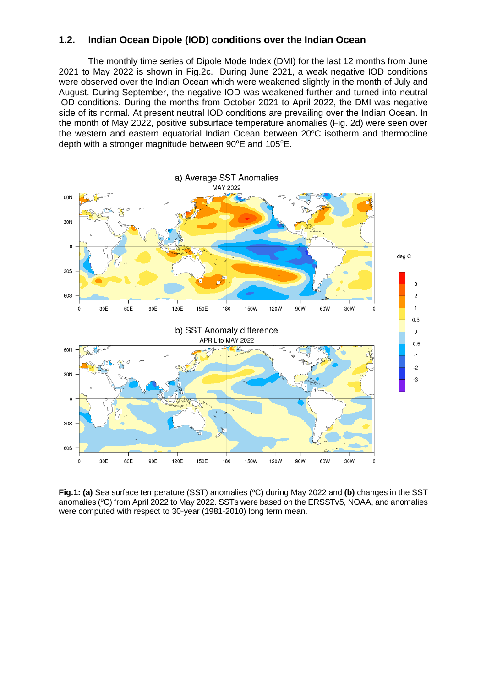#### **1.2. Indian Ocean Dipole (IOD) conditions over the Indian Ocean**

The monthly time series of Dipole Mode Index (DMI) for the last 12 months from June 2021 to May 2022 is shown in Fig.2c. During June 2021, a weak negative IOD conditions were observed over the Indian Ocean which were weakened slightly in the month of July and August. During September, the negative IOD was weakened further and turned into neutral IOD conditions. During the months from October 2021 to April 2022, the DMI was negative side of its normal. At present neutral IOD conditions are prevailing over the Indian Ocean. In the month of May 2022, positive subsurface temperature anomalies (Fig. 2d) were seen over the western and eastern equatorial Indian Ocean between 20°C isotherm and thermocline depth with a stronger magnitude between 90°E and 105°E.



**Fig.1: (a)** Sea surface temperature (SST) anomalies (°C) during May 2022 and **(b)** changes in the SST anomalies (°C) from April 2022 to May 2022. SSTs were based on the ERSSTv5, NOAA, and anomalies were computed with respect to 30-year (1981-2010) long term mean.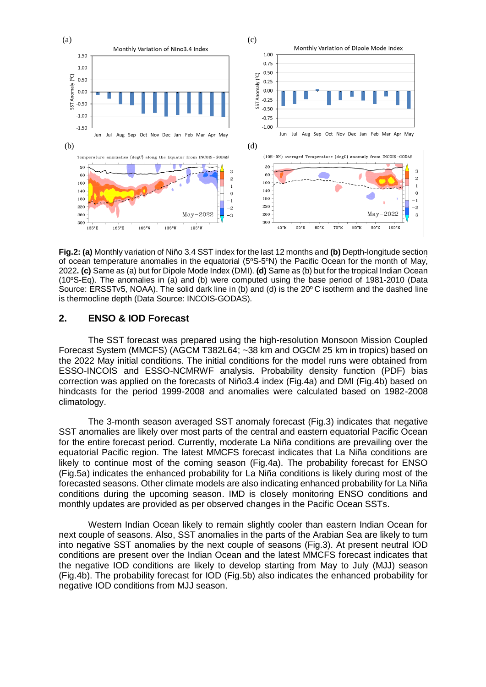

**Fig.2: (a)** Monthly variation of Niño 3.4 SST index for the last 12 months and **(b)** Depth-longitude section of ocean temperature anomalies in the equatorial  $(5^{\circ}S-5^{\circ}N)$  the Pacific Ocean for the month of May, 2022**. (c)** Same as (a) but for Dipole Mode Index (DMI). **(d)** Same as (b) but for the tropical Indian Ocean  $(10^{\circ}S-Eq)$ . The anomalies in (a) and (b) were computed using the base period of 1981-2010 (Data Source: ERSSTv5, NOAA). The solid dark line in (b) and (d) is the  $20^{\circ}$ C isotherm and the dashed line is thermocline depth (Data Source: INCOIS-GODAS).

### **2. ENSO & IOD Forecast**

The SST forecast was prepared using the high-resolution Monsoon Mission Coupled Forecast System (MMCFS) (AGCM T382L64; ~38 km and OGCM 25 km in tropics) based on the 2022 May initial conditions. The initial conditions for the model runs were obtained from ESSO-INCOIS and ESSO-NCMRWF analysis. Probability density function (PDF) bias correction was applied on the forecasts of Niño3.4 index (Fig.4a) and DMI (Fig.4b) based on hindcasts for the period 1999-2008 and anomalies were calculated based on 1982-2008 climatology.

The 3-month season averaged SST anomaly forecast (Fig.3) indicates that negative SST anomalies are likely over most parts of the central and eastern equatorial Pacific Ocean for the entire forecast period. Currently, moderate La Niña conditions are prevailing over the equatorial Pacific region. The latest MMCFS forecast indicates that La Niña conditions are likely to continue most of the coming season (Fig.4a). The probability forecast for ENSO (Fig.5a) indicates the enhanced probability for La Niña conditions is likely during most of the forecasted seasons. Other climate models are also indicating enhanced probability for La Niña conditions during the upcoming season. IMD is closely monitoring ENSO conditions and monthly updates are provided as per observed changes in the Pacific Ocean SSTs.

Western Indian Ocean likely to remain slightly cooler than eastern Indian Ocean for next couple of seasons. Also, SST anomalies in the parts of the Arabian Sea are likely to turn into negative SST anomalies by the next couple of seasons (Fig.3). At present neutral IOD conditions are present over the Indian Ocean and the latest MMCFS forecast indicates that the negative IOD conditions are likely to develop starting from May to July (MJJ) season (Fig.4b). The probability forecast for IOD (Fig.5b) also indicates the enhanced probability for negative IOD conditions from MJJ season.